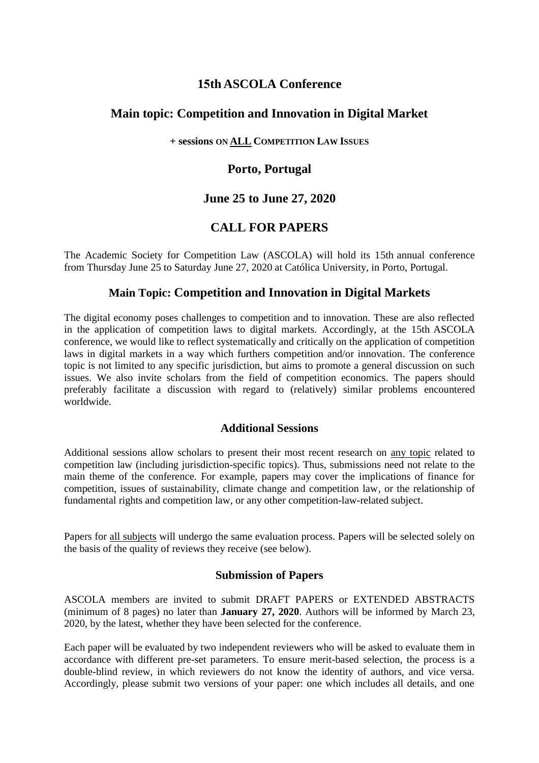### **15th ASCOLA Conference**

## **Main topic: Competition and Innovation in Digital Market**

#### **+ sessions ON ALL COMPETITION LAW ISSUES**

## **Porto, Portugal**

# **June 25 to June 27, 2020**

# **CALL FOR PAPERS**

The Academic Society for Competition Law (ASCOLA) will hold its 15th annual conference from Thursday June 25 to Saturday June 27, 2020 at Católica University, in Porto, Portugal.

### **Main Topic: Competition and Innovation in Digital Markets**

The digital economy poses challenges to competition and to innovation. These are also reflected in the application of competition laws to digital markets. Accordingly, at the 15th ASCOLA conference, we would like to reflect systematically and critically on the application of competition laws in digital markets in a way which furthers competition and/or innovation. The conference topic is not limited to any specific jurisdiction, but aims to promote a general discussion on such issues. We also invite scholars from the field of competition economics. The papers should preferably facilitate a discussion with regard to (relatively) similar problems encountered worldwide.

#### **Additional Sessions**

Additional sessions allow scholars to present their most recent research on any topic related to competition law (including jurisdiction-specific topics). Thus, submissions need not relate to the main theme of the conference. For example, papers may cover the implications of finance for competition, issues of sustainability, climate change and competition law, or the relationship of fundamental rights and competition law, or any other competition-law-related subject.

Papers for all subjects will undergo the same evaluation process. Papers will be selected solely on the basis of the quality of reviews they receive (see below).

#### **Submission of Papers**

ASCOLA members are invited to submit DRAFT PAPERS or EXTENDED ABSTRACTS (minimum of 8 pages) no later than **January 27, 2020**. Authors will be informed by March 23, 2020, by the latest, whether they have been selected for the conference.

Each paper will be evaluated by two independent reviewers who will be asked to evaluate them in accordance with different pre-set parameters. To ensure merit-based selection, the process is a double-blind review, in which reviewers do not know the identity of authors, and vice versa. Accordingly, please submit two versions of your paper: one which includes all details, and one